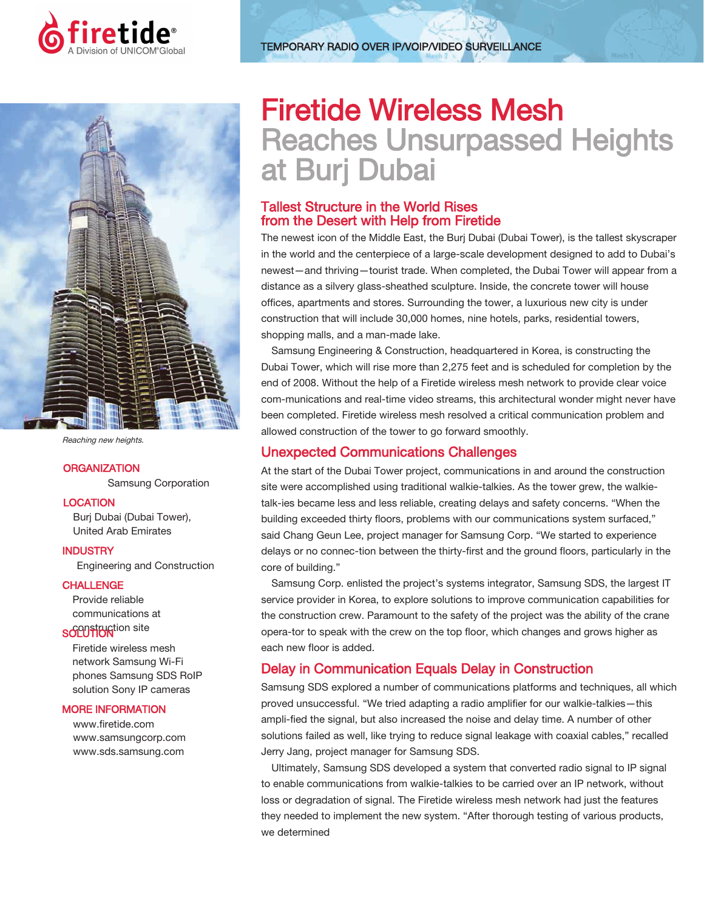



Reaching new heights.

#### **ORGANIZATION**

Samsung Corporation

#### **LOCATION**

Burj Dubai (Dubai Tower), United Arab Emirates

#### **INDUSTRY**

Engineering and Construction

#### **CHALLENGE**

Provide reliable communications at som site

Firetide wireless mesh network Samsung Wi-Fi phones Samsung SDS RoIP solution Sony IP cameras

#### MORE INFORMATION

www.firetide.com www.samsungcorp.com www.sds.samsung.com

# Firetide Wireless Mesh Reaches Unsurpassed Heights at Burj Dubai

# Tallest Structure in the World Rises from the Desert with Help from Firetide

The newest icon of the Middle East, the Burj Dubai (Dubai Tower), is the tallest skyscraper in the world and the centerpiece of a large-scale development designed to add to Dubai's newest—and thriving—tourist trade. When completed, the Dubai Tower will appear from a distance as a silvery glass-sheathed sculpture. Inside, the concrete tower will house offices, apartments and stores. Surrounding the tower, a luxurious new city is under construction that will include 30,000 homes, nine hotels, parks, residential towers, shopping malls, and a man-made lake.

Samsung Engineering & Construction, headquartered in Korea, is constructing the Dubai Tower, which will rise more than 2,275 feet and is scheduled for completion by the end of 2008. Without the help of a Firetide wireless mesh network to provide clear voice com-munications and real-time video streams, this architectural wonder might never have been completed. Firetide wireless mesh resolved a critical communication problem and allowed construction of the tower to go forward smoothly.

# Unexpected Communications Challenges

At the start of the Dubai Tower project, communications in and around the construction site were accomplished using traditional walkie-talkies. As the tower grew, the walkietalk-ies became less and less reliable, creating delays and safety concerns. "When the building exceeded thirty floors, problems with our communications system surfaced," said Chang Geun Lee, project manager for Samsung Corp. "We started to experience delays or no connec-tion between the thirty-first and the ground floors, particularly in the core of building."

Samsung Corp. enlisted the project's systems integrator, Samsung SDS, the largest IT service provider in Korea, to explore solutions to improve communication capabilities for the construction crew. Paramount to the safety of the project was the ability of the crane opera-tor to speak with the crew on the top floor, which changes and grows higher as each new floor is added.

# Delay in Communication Equals Delay in Construction

Samsung SDS explored a number of communications platforms and techniques, all which proved unsuccessful. "We tried adapting a radio amplifier for our walkie-talkies—this ampli-fied the signal, but also increased the noise and delay time. A number of other solutions failed as well, like trying to reduce signal leakage with coaxial cables," recalled Jerry Jang, project manager for Samsung SDS.

Ultimately, Samsung SDS developed a system that converted radio signal to IP signal to enable communications from walkie-talkies to be carried over an IP network, without loss or degradation of signal. The Firetide wireless mesh network had just the features they needed to implement the new system. "After thorough testing of various products, we determined